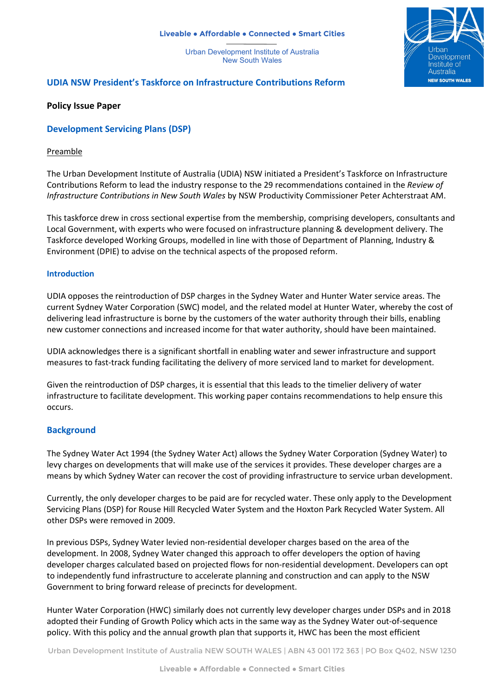#### **Liveable ● Affordable ● Connected ● Smart Cities**

Urban Development Institute of Australia New South Wales



# **UDIA NSW President's Taskforce on Infrastructure Contributions Reform**

### **Policy Issue Paper**

# **Development Servicing Plans (DSP)**

### Preamble

The Urban Development Institute of Australia (UDIA) NSW initiated a President's Taskforce on Infrastructure Contributions Reform to lead the industry response to the 29 recommendations contained in the *Review of Infrastructure Contributions in New South Wales* by NSW Productivity Commissioner Peter Achterstraat AM.

This taskforce drew in cross sectional expertise from the membership, comprising developers, consultants and Local Government, with experts who were focused on infrastructure planning & development delivery. The Taskforce developed Working Groups, modelled in line with those of Department of Planning, Industry & Environment (DPIE) to advise on the technical aspects of the proposed reform.

#### **Introduction**

UDIA opposes the reintroduction of DSP charges in the Sydney Water and Hunter Water service areas. The current Sydney Water Corporation (SWC) model, and the related model at Hunter Water, whereby the cost of delivering lead infrastructure is borne by the customers of the water authority through their bills, enabling new customer connections and increased income for that water authority, should have been maintained.

UDIA acknowledges there is a significant shortfall in enabling water and sewer infrastructure and support measures to fast-track funding facilitating the delivery of more serviced land to market for development.

Given the reintroduction of DSP charges, it is essential that this leads to the timelier delivery of water infrastructure to facilitate development. This working paper contains recommendations to help ensure this occurs.

# **Background**

The Sydney Water Act 1994 (the Sydney Water Act) allows the Sydney Water Corporation (Sydney Water) to levy charges on developments that will make use of the services it provides. These developer charges are a means by which Sydney Water can recover the cost of providing infrastructure to service urban development.

Currently, the only developer charges to be paid are for recycled water. These only apply to the Development Servicing Plans (DSP) for Rouse Hill Recycled Water System and the Hoxton Park Recycled Water System. All other DSPs were removed in 2009.

In previous DSPs, Sydney Water levied non-residential developer charges based on the area of the development. In 2008, Sydney Water changed this approach to offer developers the option of having developer charges calculated based on projected flows for non-residential development. Developers can opt to independently fund infrastructure to accelerate planning and construction and can apply to the NSW Government to bring forward release of precincts for development.

Hunter Water Corporation (HWC) similarly does not currently levy developer charges under DSPs and in 2018 adopted their Funding of Growth Policy which acts in the same way as the Sydney Water out-of-sequence policy. With this policy and the annual growth plan that supports it, HWC has been the most efficient

Urban Development Institute of Australia NEW SOUTH WALES | ABN 43 001 172 363 | PO Box Q402, NSW 1230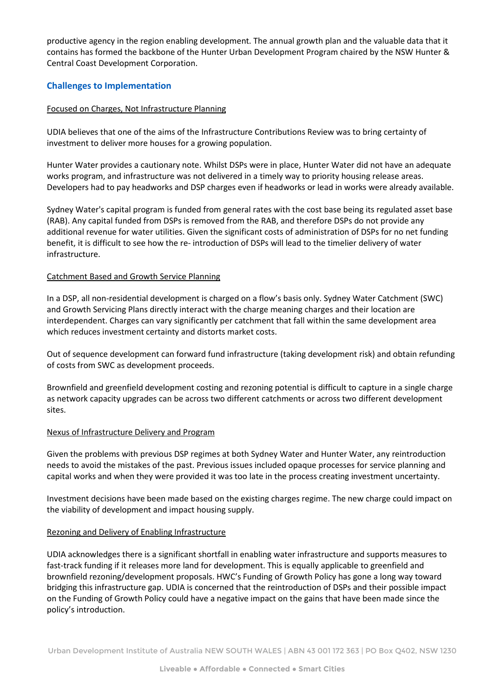productive agency in the region enabling development. The annual growth plan and the valuable data that it contains has formed the backbone of the Hunter Urban Development Program chaired by the NSW Hunter & Central Coast Development Corporation.

# **Challenges to Implementation**

### Focused on Charges, Not Infrastructure Planning

UDIA believes that one of the aims of the Infrastructure Contributions Review was to bring certainty of investment to deliver more houses for a growing population.

Hunter Water provides a cautionary note. Whilst DSPs were in place, Hunter Water did not have an adequate works program, and infrastructure was not delivered in a timely way to priority housing release areas. Developers had to pay headworks and DSP charges even if headworks or lead in works were already available.

Sydney Water's capital program is funded from general rates with the cost base being its regulated asset base (RAB). Any capital funded from DSPs is removed from the RAB, and therefore DSPs do not provide any additional revenue for water utilities. Given the significant costs of administration of DSPs for no net funding benefit, it is difficult to see how the re- introduction of DSPs will lead to the timelier delivery of water infrastructure.

### Catchment Based and Growth Service Planning

In a DSP, all non-residential development is charged on a flow's basis only. Sydney Water Catchment (SWC) and Growth Servicing Plans directly interact with the charge meaning charges and their location are interdependent. Charges can vary significantly per catchment that fall within the same development area which reduces investment certainty and distorts market costs.

Out of sequence development can forward fund infrastructure (taking development risk) and obtain refunding of costs from SWC as development proceeds.

Brownfield and greenfield development costing and rezoning potential is difficult to capture in a single charge as network capacity upgrades can be across two different catchments or across two different development sites.

#### Nexus of Infrastructure Delivery and Program

Given the problems with previous DSP regimes at both Sydney Water and Hunter Water, any reintroduction needs to avoid the mistakes of the past. Previous issues included opaque processes for service planning and capital works and when they were provided it was too late in the process creating investment uncertainty.

Investment decisions have been made based on the existing charges regime. The new charge could impact on the viability of development and impact housing supply.

#### Rezoning and Delivery of Enabling Infrastructure

UDIA acknowledges there is a significant shortfall in enabling water infrastructure and supports measures to fast-track funding if it releases more land for development. This is equally applicable to greenfield and brownfield rezoning/development proposals. HWC's Funding of Growth Policy has gone a long way toward bridging this infrastructure gap. UDIA is concerned that the reintroduction of DSPs and their possible impact on the Funding of Growth Policy could have a negative impact on the gains that have been made since the policy's introduction.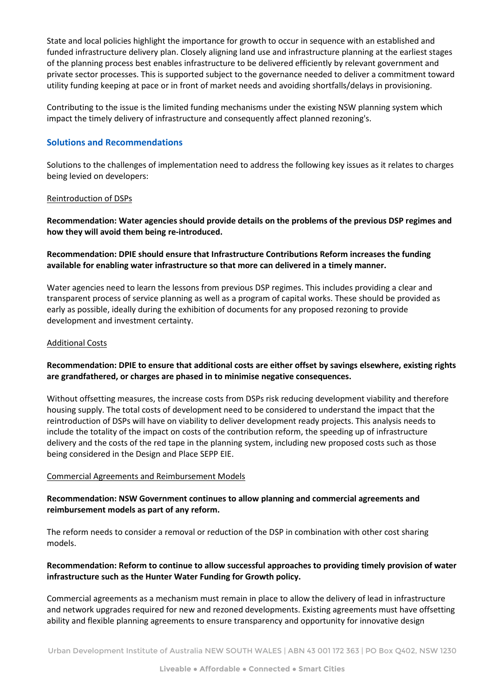State and local policies highlight the importance for growth to occur in sequence with an established and funded infrastructure delivery plan. Closely aligning land use and infrastructure planning at the earliest stages of the planning process best enables infrastructure to be delivered efficiently by relevant government and private sector processes. This is supported subject to the governance needed to deliver a commitment toward utility funding keeping at pace or in front of market needs and avoiding shortfalls/delays in provisioning.

Contributing to the issue is the limited funding mechanisms under the existing NSW planning system which impact the timely delivery of infrastructure and consequently affect planned rezoning's.

# **Solutions and Recommendations**

Solutions to the challenges of implementation need to address the following key issues as it relates to charges being levied on developers:

#### Reintroduction of DSPs

**Recommendation: Water agencies should provide details on the problems of the previous DSP regimes and how they will avoid them being re-introduced.**

# **Recommendation: DPIE should ensure that Infrastructure Contributions Reform increases the funding available for enabling water infrastructure so that more can delivered in a timely manner.**

Water agencies need to learn the lessons from previous DSP regimes. This includes providing a clear and transparent process of service planning as well as a program of capital works. These should be provided as early as possible, ideally during the exhibition of documents for any proposed rezoning to provide development and investment certainty.

### Additional Costs

# **Recommendation: DPIE to ensure that additional costs are either offset by savings elsewhere, existing rights are grandfathered, or charges are phased in to minimise negative consequences.**

Without offsetting measures, the increase costs from DSPs risk reducing development viability and therefore housing supply. The total costs of development need to be considered to understand the impact that the reintroduction of DSPs will have on viability to deliver development ready projects. This analysis needs to include the totality of the impact on costs of the contribution reform, the speeding up of infrastructure delivery and the costs of the red tape in the planning system, including new proposed costs such as those being considered in the Design and Place SEPP EIE.

#### Commercial Agreements and Reimbursement Models

# **Recommendation: NSW Government continues to allow planning and commercial agreements and reimbursement models as part of any reform.**

The reform needs to consider a removal or reduction of the DSP in combination with other cost sharing models.

# **Recommendation: Reform to continue to allow successful approaches to providing timely provision of water infrastructure such as the Hunter Water Funding for Growth policy.**

Commercial agreements as a mechanism must remain in place to allow the delivery of lead in infrastructure and network upgrades required for new and rezoned developments. Existing agreements must have offsetting ability and flexible planning agreements to ensure transparency and opportunity for innovative design